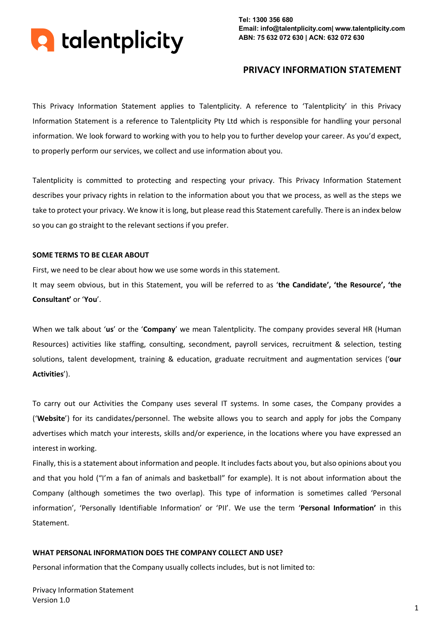

# **PRIVACY INFORMATION STATEMENT**

This Privacy Information Statement applies to Talentplicity. A reference to 'Talentplicity' in this Privacy Information Statement is a reference to Talentplicity Pty Ltd which is responsible for handling your personal information. We look forward to working with you to help you to further develop your career. As you'd expect, to properly perform our services, we collect and use information about you.

Talentplicity is committed to protecting and respecting your privacy. This Privacy Information Statement describes your privacy rights in relation to the information about you that we process, as well as the steps we take to protect your privacy. We know it is long, but please read this Statement carefully. There is an index below so you can go straight to the relevant sections if you prefer.

#### **SOME TERMS TO BE CLEAR ABOUT**

First, we need to be clear about how we use some words in this statement.

It may seem obvious, but in this Statement, you will be referred to as '**the Candidate', 'the Resource', 'the Consultant'** or '**You**'.

When we talk about '**us**' or the '**Company**' we mean Talentplicity. The company provides several HR (Human Resources) activities like staffing, consulting, secondment, payroll services, recruitment & selection, testing solutions, talent development, training & education, graduate recruitment and augmentation services ('**our Activities**').

To carry out our Activities the Company uses several IT systems. In some cases, the Company provides a ('**Website**') for its candidates/personnel. The website allows you to search and apply for jobs the Company advertises which match your interests, skills and/or experience, in the locations where you have expressed an interest in working.

Finally, this is a statement about information and people. It includes facts about you, but also opinions about you and that you hold ("I'm a fan of animals and basketball" for example). It is not about information about the Company (although sometimes the two overlap). This type of information is sometimes called 'Personal information', 'Personally Identifiable Information' or 'PII'. We use the term '**Personal Information'** in this Statement.

#### **WHAT PERSONAL INFORMATION DOES THE COMPANY COLLECT AND USE?**

Personal information that the Company usually collects includes, but is not limited to: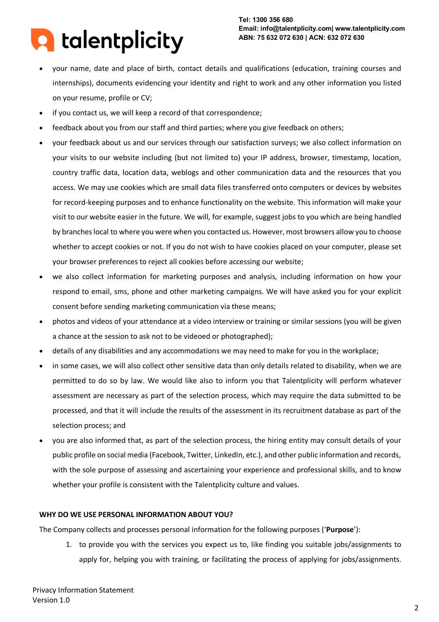# **A** talentplicity

**Tel: 1300 356 680 Email: info@talentplicity.com| www.talentplicity.com ABN: 75 632 072 630 | ACN: 632 072 630**

- your name, date and place of birth, contact details and qualifications (education, training courses and internships), documents evidencing your identity and right to work and any other information you listed on your resume, profile or CV;
- if you contact us, we will keep a record of that correspondence;
- feedback about you from our staff and third parties; where you give feedback on others;
- your feedback about us and our services through our satisfaction surveys; we also collect information on your visits to our website including (but not limited to) your IP address, browser, timestamp, location, country traffic data, location data, weblogs and other communication data and the resources that you access. We may use cookies which are small data files transferred onto computers or devices by websites for record-keeping purposes and to enhance functionality on the website. This information will make your visit to our website easier in the future. We will, for example, suggest jobs to you which are being handled by branches local to where you were when you contacted us. However, most browsers allow you to choose whether to accept cookies or not. If you do not wish to have cookies placed on your computer, please set your browser preferences to reject all cookies before accessing our website;
- we also collect information for marketing purposes and analysis, including information on how your respond to email, sms, phone and other marketing campaigns. We will have asked you for your explicit consent before sending marketing communication via these means;
- photos and videos of your attendance at a video interview or training or similar sessions (you will be given a chance at the session to ask not to be videoed or photographed);
- details of any disabilities and any accommodations we may need to make for you in the workplace;
- in some cases, we will also collect other sensitive data than only details related to disability, when we are permitted to do so by law. We would like also to inform you that Talentplicity will perform whatever assessment are necessary as part of the selection process, which may require the data submitted to be processed, and that it will include the results of the assessment in its recruitment database as part of the selection process; and
- you are also informed that, as part of the selection process, the hiring entity may consult details of your public profile on social media (Facebook, Twitter, LinkedIn, etc.), and other public information and records, with the sole purpose of assessing and ascertaining your experience and professional skills, and to know whether your profile is consistent with the Talentplicity culture and values.

# **WHY DO WE USE PERSONAL INFORMATION ABOUT YOU?**

The Company collects and processes personal information for the following purposes ('**Purpose**'):

1. to provide you with the services you expect us to, like finding you suitable jobs/assignments to apply for, helping you with training, or facilitating the process of applying for jobs/assignments.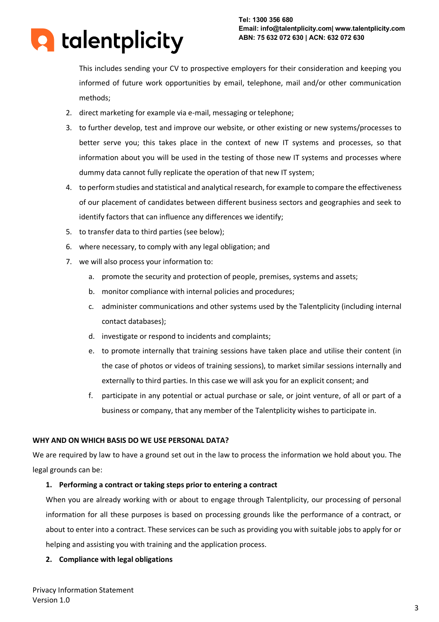

This includes sending your CV to prospective employers for their consideration and keeping you informed of future work opportunities by email, telephone, mail and/or other communication methods;

- 2. direct marketing for example via e-mail, messaging or telephone;
- 3. to further develop, test and improve our website, or other existing or new systems/processes to better serve you; this takes place in the context of new IT systems and processes, so that information about you will be used in the testing of those new IT systems and processes where dummy data cannot fully replicate the operation of that new IT system;
- 4. to perform studies and statistical and analytical research, for example to compare the effectiveness of our placement of candidates between different business sectors and geographies and seek to identify factors that can influence any differences we identify;
- 5. to transfer data to third parties (see below);
- 6. where necessary, to comply with any legal obligation; and
- 7. we will also process your information to:
	- a. promote the security and protection of people, premises, systems and assets;
	- b. monitor compliance with internal policies and procedures;
	- c. administer communications and other systems used by the Talentplicity (including internal contact databases);
	- d. investigate or respond to incidents and complaints;
	- e. to promote internally that training sessions have taken place and utilise their content (in the case of photos or videos of training sessions), to market similar sessions internally and externally to third parties. In this case we will ask you for an explicit consent; and
	- f. participate in any potential or actual purchase or sale, or joint venture, of all or part of a business or company, that any member of the Talentplicity wishes to participate in.

# **WHY AND ON WHICH BASIS DO WE USE PERSONAL DATA?**

We are required by law to have a ground set out in the law to process the information we hold about you. The legal grounds can be:

# **1. Performing a contract or taking steps prior to entering a contract**

When you are already working with or about to engage through Talentplicity, our processing of personal information for all these purposes is based on processing grounds like the performance of a contract, or about to enter into a contract. These services can be such as providing you with suitable jobs to apply for or helping and assisting you with training and the application process.

# **2. Compliance with legal obligations**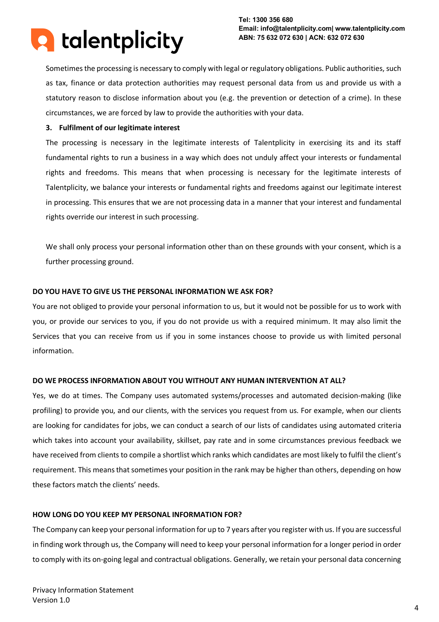

Sometimes the processing is necessary to comply with legal or regulatory obligations. Public authorities, such as tax, finance or data protection authorities may request personal data from us and provide us with a statutory reason to disclose information about you (e.g. the prevention or detection of a crime). In these circumstances, we are forced by law to provide the authorities with your data.

# **3. Fulfilment of our legitimate interest**

The processing is necessary in the legitimate interests of Talentplicity in exercising its and its staff fundamental rights to run a business in a way which does not unduly affect your interests or fundamental rights and freedoms. This means that when processing is necessary for the legitimate interests of Talentplicity, we balance your interests or fundamental rights and freedoms against our legitimate interest in processing. This ensures that we are not processing data in a manner that your interest and fundamental rights override our interest in such processing.

We shall only process your personal information other than on these grounds with your consent, which is a further processing ground.

# **DO YOU HAVE TO GIVE US THE PERSONAL INFORMATION WE ASK FOR?**

You are not obliged to provide your personal information to us, but it would not be possible for us to work with you, or provide our services to you, if you do not provide us with a required minimum. It may also limit the Services that you can receive from us if you in some instances choose to provide us with limited personal information.

# **DO WE PROCESS INFORMATION ABOUT YOU WITHOUT ANY HUMAN INTERVENTION AT ALL?**

Yes, we do at times. The Company uses automated systems/processes and automated decision-making (like profiling) to provide you, and our clients, with the services you request from us. For example, when our clients are looking for candidates for jobs, we can conduct a search of our lists of candidates using automated criteria which takes into account your availability, skillset, pay rate and in some circumstances previous feedback we have received from clients to compile a shortlist which ranks which candidates are most likely to fulfil the client's requirement. This means that sometimes your position in the rank may be higher than others, depending on how these factors match the clients' needs.

# **HOW LONG DO YOU KEEP MY PERSONAL INFORMATION FOR?**

The Company can keep your personal information for up to 7 years after you register with us. If you are successful in finding work through us, the Company will need to keep your personal information for a longer period in order to comply with its on-going legal and contractual obligations. Generally, we retain your personal data concerning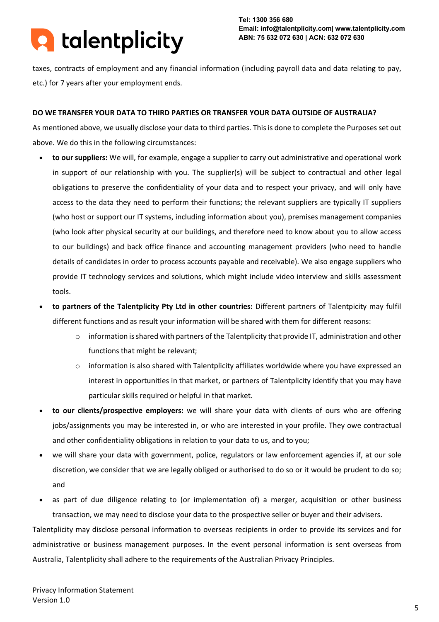

taxes, contracts of employment and any financial information (including payroll data and data relating to pay, etc.) for 7 years after your employment ends.

# **DO WE TRANSFER YOUR DATA TO THIRD PARTIES OR TRANSFER YOUR DATA OUTSIDE OF AUSTRALIA?**

As mentioned above, we usually disclose your data to third parties. This is done to complete the Purposes set out above. We do this in the following circumstances:

- **to our suppliers:** We will, for example, engage a supplier to carry out administrative and operational work in support of our relationship with you. The supplier(s) will be subject to contractual and other legal obligations to preserve the confidentiality of your data and to respect your privacy, and will only have access to the data they need to perform their functions; the relevant suppliers are typically IT suppliers (who host or support our IT systems, including information about you), premises management companies (who look after physical security at our buildings, and therefore need to know about you to allow access to our buildings) and back office finance and accounting management providers (who need to handle details of candidates in order to process accounts payable and receivable). We also engage suppliers who provide IT technology services and solutions, which might include video interview and skills assessment tools.
- **to partners of the Talentplicity Pty Ltd in other countries:** Different partners of Talentpicity may fulfil different functions and as result your information will be shared with them for different reasons:
	- $\circ$  information is shared with partners of the Talentplicity that provide IT, administration and other functions that might be relevant;
	- $\circ$  information is also shared with Talentplicity affiliates worldwide where you have expressed an interest in opportunities in that market, or partners of Talentplicity identify that you may have particular skills required or helpful in that market.
- **to our clients/prospective employers:** we will share your data with clients of ours who are offering jobs/assignments you may be interested in, or who are interested in your profile. They owe contractual and other confidentiality obligations in relation to your data to us, and to you;
- we will share your data with government, police, regulators or law enforcement agencies if, at our sole discretion, we consider that we are legally obliged or authorised to do so or it would be prudent to do so; and
- as part of due diligence relating to (or implementation of) a merger, acquisition or other business transaction, we may need to disclose your data to the prospective seller or buyer and their advisers.

Talentplicity may disclose personal information to overseas recipients in order to provide its services and for administrative or business management purposes. In the event personal information is sent overseas from Australia, Talentplicity shall adhere to the requirements of the Australian Privacy Principles.